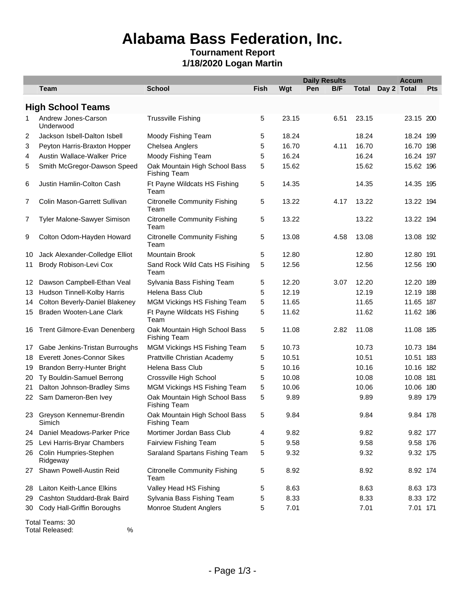### **Alabama Bass Federation, Inc.**

#### **Tournament Report 1/18/2020 Logan Martin**

|     |                                       |                                                      |             |       | <b>Daily Results</b> |      |       | <b>Accum</b> |     |  |
|-----|---------------------------------------|------------------------------------------------------|-------------|-------|----------------------|------|-------|--------------|-----|--|
|     | Team                                  | <b>School</b>                                        | <b>Fish</b> | Wgt   | Pen                  | B/F  | Total | Day 2 Total  | Pts |  |
|     | <b>High School Teams</b>              |                                                      |             |       |                      |      |       |              |     |  |
| 1   | Andrew Jones-Carson<br>Underwood      | <b>Trussville Fishing</b>                            | 5           | 23.15 |                      | 6.51 | 23.15 | 23.15 200    |     |  |
| 2   | Jackson Isbell-Dalton Isbell          | Moody Fishing Team                                   | 5           | 18.24 |                      |      | 18.24 | 18.24 199    |     |  |
| 3   | Peyton Harris-Braxton Hopper          | Chelsea Anglers                                      | 5           | 16.70 |                      | 4.11 | 16.70 | 16.70 198    |     |  |
| 4   | Austin Wallace-Walker Price           | Moody Fishing Team                                   | 5           | 16.24 |                      |      | 16.24 | 16.24 197    |     |  |
| 5   | Smith McGregor-Dawson Speed           | Oak Mountain High School Bass<br><b>Fishing Team</b> | 5           | 15.62 |                      |      | 15.62 | 15.62 196    |     |  |
| 6   | Justin Hamlin-Colton Cash             | Ft Payne Wildcats HS Fishing<br>Team                 | 5           | 14.35 |                      |      | 14.35 | 14.35 195    |     |  |
| 7   | Colin Mason-Garrett Sullivan          | <b>Citronelle Community Fishing</b><br>Team          | 5           | 13.22 |                      | 4.17 | 13.22 | 13.22 194    |     |  |
| 7   | Tyler Malone-Sawyer Simison           | <b>Citronelle Community Fishing</b><br>Team          | 5           | 13.22 |                      |      | 13.22 | 13.22 194    |     |  |
| 9   | Colton Odom-Hayden Howard             | <b>Citronelle Community Fishing</b><br>Team          | 5           | 13.08 |                      | 4.58 | 13.08 | 13.08 192    |     |  |
| 10  | Jack Alexander-Colledge Elliot        | <b>Mountain Brook</b>                                | 5           | 12.80 |                      |      | 12.80 | 12.80 191    |     |  |
| 11  | Brody Robison-Levi Cox                | Sand Rock Wild Cats HS Fisihing<br>Team              | 5           | 12.56 |                      |      | 12.56 | 12.56 190    |     |  |
|     | 12 Dawson Campbell-Ethan Veal         | Sylvania Bass Fishing Team                           | 5           | 12.20 |                      | 3.07 | 12.20 | 12.20 189    |     |  |
| 13  | Hudson Tinnell-Kolby Harris           | Helena Bass Club                                     | 5           | 12.19 |                      |      | 12.19 | 12.19 188    |     |  |
| 14  | <b>Colton Beverly-Daniel Blakeney</b> | MGM Vickings HS Fishing Team                         | 5           | 11.65 |                      |      | 11.65 | 11.65 187    |     |  |
| 15  | Braden Wooten-Lane Clark              | Ft Payne Wildcats HS Fishing<br>Team                 | 5           | 11.62 |                      |      | 11.62 | 11.62 186    |     |  |
|     | 16 Trent Gilmore-Evan Denenberg       | Oak Mountain High School Bass<br><b>Fishing Team</b> | 5           | 11.08 |                      | 2.82 | 11.08 | 11.08 185    |     |  |
| 17  | Gabe Jenkins-Tristan Burroughs        | MGM Vickings HS Fishing Team                         | 5           | 10.73 |                      |      | 10.73 | 10.73 184    |     |  |
| 18. | Everett Jones-Connor Sikes            | Prattville Christian Academy                         | 5           | 10.51 |                      |      | 10.51 | 10.51 183    |     |  |
| 19  | Brandon Berry-Hunter Bright           | Helena Bass Club                                     | 5           | 10.16 |                      |      | 10.16 | 10.16 182    |     |  |
| 20  | Ty Bouldin-Samuel Berrong             | Crossville High School                               | 5           | 10.08 |                      |      | 10.08 | 10.08 181    |     |  |
| 21  | Dalton Johnson-Bradley Sims           | MGM Vickings HS Fishing Team                         | 5           | 10.06 |                      |      | 10.06 | 10.06 180    |     |  |
| 22  | Sam Dameron-Ben Ivey                  | Oak Mountain High School Bass<br><b>Fishing Team</b> | 5           | 9.89  |                      |      | 9.89  | 9.89 179     |     |  |
|     | 23 Greyson Kennemur-Brendin<br>Simich | Oak Mountain High School Bass<br><b>Fishing Team</b> | 5           | 9.84  |                      |      | 9.84  | 9.84 178     |     |  |
| 24  | Daniel Meadows-Parker Price           | Mortimer Jordan Bass Club                            | 4           | 9.82  |                      |      | 9.82  | 9.82 177     |     |  |
| 25  | Levi Harris-Bryar Chambers            | Fairview Fishing Team                                | 5           | 9.58  |                      |      | 9.58  | 9.58 176     |     |  |
|     | 26 Colin Humpries-Stephen<br>Ridgeway | Saraland Spartans Fishing Team                       | 5           | 9.32  |                      |      | 9.32  | 9.32 175     |     |  |
| 27  | Shawn Powell-Austin Reid              | <b>Citronelle Community Fishing</b><br>Team          | 5           | 8.92  |                      |      | 8.92  | 8.92 174     |     |  |
| 28  | Laiton Keith-Lance Elkins             | Valley Head HS Fishing                               | 5           | 8.63  |                      |      | 8.63  | 8.63 173     |     |  |
| 29  | Cashton Studdard-Brak Baird           | Sylvania Bass Fishing Team                           | 5           | 8.33  |                      |      | 8.33  | 8.33 172     |     |  |
| 30  | Cody Hall-Griffin Boroughs            | Monroe Student Anglers                               | 5           | 7.01  |                      |      | 7.01  | 7.01 171     |     |  |
|     | Total Teams: 30                       |                                                      |             |       |                      |      |       |              |     |  |

Total Released: %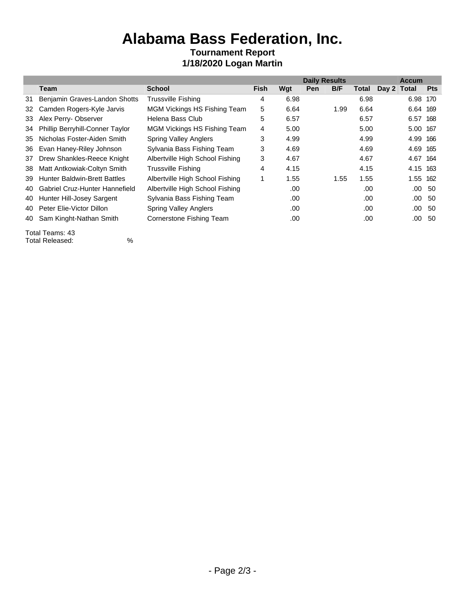# **Alabama Bass Federation, Inc.**

#### **Tournament Report 1/18/2020 Logan Martin**

|    |                                     |                                 | <b>Daily Results</b> |      |            |      | <b>Accum</b> |             |          |               |
|----|-------------------------------------|---------------------------------|----------------------|------|------------|------|--------------|-------------|----------|---------------|
|    | Team                                | <b>School</b>                   | <b>Fish</b>          | Wgt  | <b>Pen</b> | B/F  | Total        | Day 2 Total |          | <b>Pts</b>    |
| 31 | Benjamin Graves-Landon Shotts       | <b>Trussville Fishing</b>       | 4                    | 6.98 |            |      | 6.98         |             | 6.98     | 170           |
|    | 32 Camden Rogers-Kyle Jarvis        | MGM Vickings HS Fishing Team    | 5                    | 6.64 |            | 1.99 | 6.64         |             | 6.64 169 |               |
|    | 33 Alex Perry-Observer              | Helena Bass Club                | 5                    | 6.57 |            |      | 6.57         |             | 6.57 168 |               |
|    | 34 Phillip Berryhill-Conner Taylor  | MGM Vickings HS Fishing Team    | 4                    | 5.00 |            |      | 5.00         |             | 5.00 167 |               |
| 35 | Nicholas Foster-Aiden Smith         | <b>Spring Valley Anglers</b>    | 3                    | 4.99 |            |      | 4.99         |             | 4.99 166 |               |
| 36 | Evan Haney-Riley Johnson            | Sylvania Bass Fishing Team      | 3                    | 4.69 |            |      | 4.69         |             | 4.69 165 |               |
| 37 | Drew Shankles-Reece Knight          | Albertville High School Fishing | 3                    | 4.67 |            |      | 4.67         |             | 4.67     | 164           |
| 38 | Matt Antkowiak-Coltyn Smith         | <b>Trussville Fishing</b>       | 4                    | 4.15 |            |      | 4.15         |             | 4.15     | 163           |
| 39 | <b>Hunter Baldwin-Brett Battles</b> | Albertville High School Fishing |                      | 1.55 |            | 1.55 | 1.55         |             | 1.55 162 |               |
|    | 40 Gabriel Cruz-Hunter Hannefield   | Albertville High School Fishing |                      | .00  |            |      | .00          |             |          | $.00\quad50$  |
|    | 40 Hunter Hill-Josey Sargent        | Sylvania Bass Fishing Team      |                      | .00  |            |      | .00          |             |          | $.00\quad50$  |
| 40 | Peter Elie-Victor Dillon            | <b>Spring Valley Anglers</b>    |                      | .00  |            |      | .00          |             |          | $.00\quad50$  |
| 40 | Sam Kinght-Nathan Smith             | Cornerstone Fishing Team        |                      | .00  |            |      | .00          |             |          | $.00\quad 50$ |
|    |                                     |                                 |                      |      |            |      |              |             |          |               |

Total Teams: 43 Total Released: %